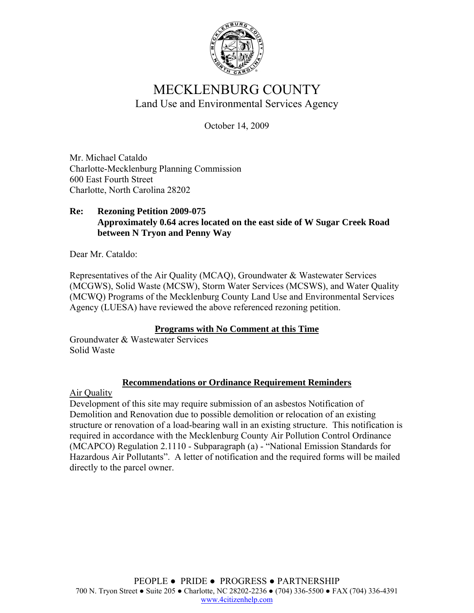

# MECKLENBURG COUNTY Land Use and Environmental Services Agency

October 14, 2009

Mr. Michael Cataldo Charlotte-Mecklenburg Planning Commission 600 East Fourth Street Charlotte, North Carolina 28202

#### **Re: Rezoning Petition 2009-075 Approximately 0.64 acres located on the east side of W Sugar Creek Road between N Tryon and Penny Way**

Dear Mr. Cataldo:

Representatives of the Air Quality (MCAQ), Groundwater & Wastewater Services (MCGWS), Solid Waste (MCSW), Storm Water Services (MCSWS), and Water Quality (MCWQ) Programs of the Mecklenburg County Land Use and Environmental Services Agency (LUESA) have reviewed the above referenced rezoning petition.

#### **Programs with No Comment at this Time**

Groundwater & Wastewater Services Solid Waste

## **Recommendations or Ordinance Requirement Reminders**

Air Quality

Development of this site may require submission of an asbestos Notification of Demolition and Renovation due to possible demolition or relocation of an existing structure or renovation of a load-bearing wall in an existing structure. This notification is required in accordance with the Mecklenburg County Air Pollution Control Ordinance (MCAPCO) Regulation 2.1110 - Subparagraph (a) - "National Emission Standards for Hazardous Air Pollutants". A letter of notification and the required forms will be mailed directly to the parcel owner.